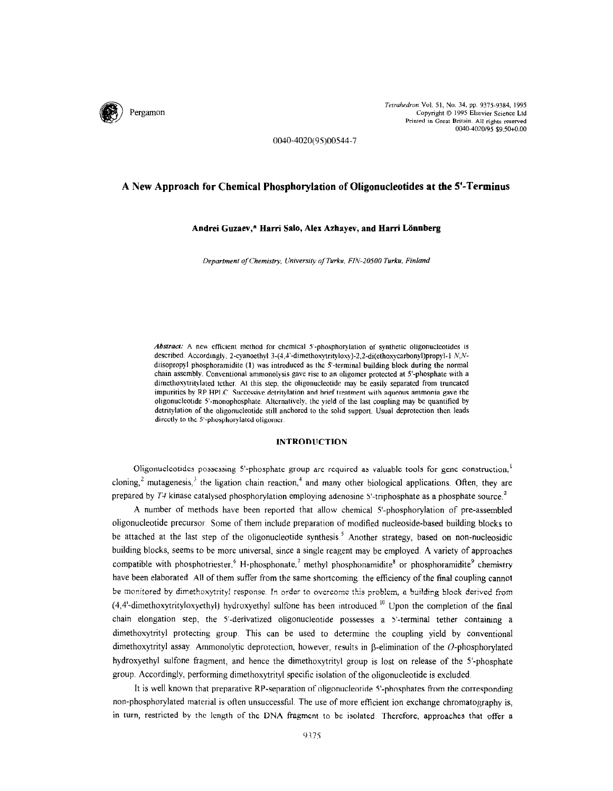

Tetrahedron Vol. 51, No. 34, pp. 9375-9384, 1995 Copyright 0 1995 Elsevier Science Ltd Printed in Great Britain. All rights reserved OCMO-4020/95 \$9.50+0.00

0040-4020(95)00544-7

# A New Approach for Chemical Phosphorylation of Oligonucleotides at the S-Terminus

### Andrei Guzaev,\* Harri Salo, Alex Azhayev, and Harri Lönnberg

Department of Chemistry, University of Turku, FIN-20500 Turku, Finland

Abstract: A new efficient method for chemical 5'-phosphorylation of synthetic oligonucleotides is described Accordingly. 2-cyanoethyl 3-(4,4'-dimethoxytrityloxy)-2,2-di(ethoxycarbonyl)propyl-1 N,Ndiisopropyl phosphoramidite (1) was introduced as the 5'-terminal building block during the normal chain assembly. Conventional ammonolysis gave rise to an oligomer protected at 5'-phosphate with a dimethoxytritylated tether. At this step, the oligonucleotide may be easily separated from truncated impurities by RP HPLC. Successive detritylation and brief treatment with aqueous ammonia gave the oligonucleotide S'-monophosphate Alternatively, the yield of the last coupling may be quantified by detritylation of the oligonucleotide stdl anchored to the solld support. Usual deprotcction then leads directly to the 5'-phosphorylated oligomer.

### INTRODUCTION

Oligonucleotides possessing S-phosphate group are required as valuable tools for gene construction,' cloning,<sup>2</sup> mutagenesis, $3$  the ligation chain reaction,<sup>4</sup> and many other biological applications. Often, they are prepared by  $T4$  kinase catalysed phosphorylation employing adenosine  $S$ -triphosphate as a phosphate source.<sup>2</sup>

A number of methods have been reported that allow chemical 5'-phosphorylation of pre-assembled oligonucleotide precursor Some of them include preparation of modified nucleoside-based building blocks to be attached at the last step of the oligonucleotide synthesis.<sup>5</sup> Another strategy, based on non-nucleosidic building blocks, seems to be more universal, since a single reagent may be employed. A variety of approaches compatible with phosphotriester,  $6H$ -phosphonate, methyl phosphonamidite<sup>8</sup> or phosphoramidite<sup>9</sup> chemistry have been elaborated. All of them suffer from the same shortcoming: the efficiency of the final coupling cannot be monitored by dimethoxytrityl response. In order to overcome this problem, a building block derived from  $(4,4'-dimension)$  dimethoxytrityloxyethyl) hydroxyethyl sulfone has been introduced.<sup>10</sup> Upon the completion of the final chain elongation step, the 5'-derivatized oligonucleotide possesses a 5'-terminal tether containing a dimethoxytrityl protecting group. This can be used to determine the coupling yield by conventional dimethoxytrityl assay. Ammonolytic deprotection, however, results in  $\beta$ -elimination of the O-phosphorylated hydroxyethyl sulfone fragment, and hence the dimethoxytrityl group is lost on release of the 5'-phosphate group. Accordingly, performing dimethoxytrityl specific isolation of the oligonucleotide is excluded

It is well known that preparative RP-separation of oligonucleotide 5'-phosphates from the corresponding non-phosphorylated material is often unsuccessful. The use of more efficient ion exchange chromatography is, in turn, restricted by the length of the DNA fragment to be isolated Therefore, approaches that offer a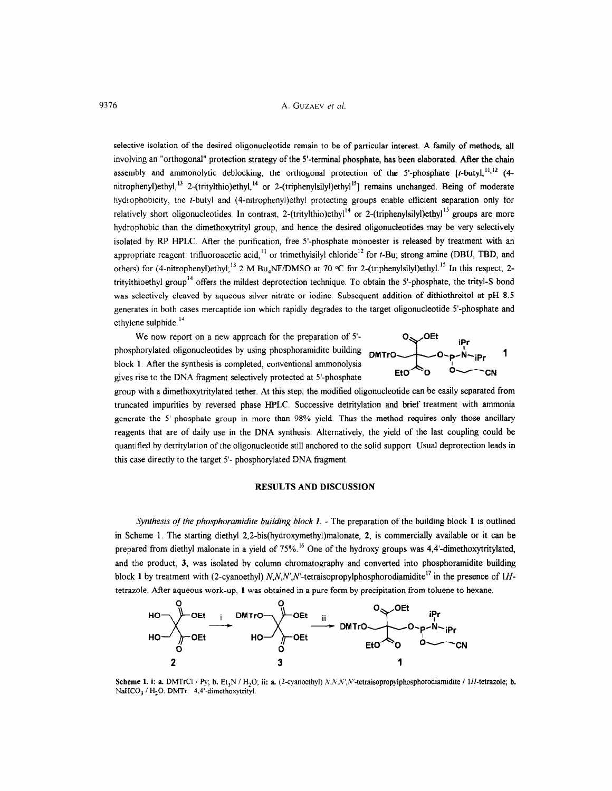selective isolation of the desired oligonucleotide remain to be of particular interest, A family of methods, all involving an "orthogonal" protection strategy of the 5'-terminal phosphate, has been elaborated. After the chain assembly and ammonolytic deblocking, the orthogonal protection of the 5'-phosphate  $[t$ -butyl,  $\frac{11,12}{2}$  (4nitrophenyl)ethyl,<sup>13</sup> 2-(tritylthio)ethyl,<sup>14</sup> or 2-(triphenylsilyl)ethyl<sup>15</sup>] remains unchanged. Being of moderate hydrophobicity, the t-butyl and (4-nitrophenyl)ethyl protecting groups enable efficient separation only for relatively short oligonucleotides. In contrast, 2-(tritylthio)ethyl<sup>14</sup> or 2-(triphenylsilyl)ethyl<sup>15</sup> groups are more hydrophobic than the dimethoxytrityl group, and hence the desired oligonucleotides may be very selectively isolated by RP HPLC. After the purification, free 5'-phosphate monoester is released by treatment with an appropriate reagent: trifluoroacetic acid,<sup>11</sup> or trimethylsilyl chloride<sup>12</sup> for  $t$ -Bu; strong amine (DBU, TBD, and others) for (4-nitrophenyl)ethyl;<sup>13</sup> 2 M Bu<sub>4</sub>NF/DMSO at 70 °C for 2-(triphenylsilyl)ethyl.<sup>15</sup> In this respect, 2tritylthioethyl group<sup>14</sup> offers the mildest deprotection technique. To obtain the 5'-phosphate, the trityl-S bond was selectively cleaved by aqueous silver nitrate or iodine Subsequent addition of dithiothreitol at pH 8.5 generates in both cases mercaptide ion which rapidly degrades to the target oligonucleotide S-phosphate and ethylene sulphide.<sup>14</sup>

We now report on a new approach for the preparation of  $5'$ phosphorylated oligonucleotides by using phosphoramidite building DMTrO block 1 After the synthesis is completed, conventional ammonolysis  $E1Q$ gives rise to the DNA fragment selectively protected at 5'-phosphate



group with a dimethoxytritylated tether. At this step, the modified oligonucleotide can be easily separated from truncated impurities by reversed phase HPLC. Successive detritylation and brief treatment with ammonia generate the 5'-phosphate group in more than 98% yield. Thus the method requires only those ancillary reagents that are of daily use in the DNA synthesis. Alternatively, the yield of the last coupling could be quantified by detritylation of the oligonucleotide still anchored to the solid support. Usual deprotection leads in this case directly to the target 5'- phosphorylated DNA fragment.

### RESULTS AND DISCUSSION

Synthesis of the phosphoramidite building block  $I$ . - The preparation of the building block  $I$  is outlined in Scheme 1. The starting diethyl 2,2-bis(hydroxymethyl)malonate, 2, is commercially available or it can be prepared from diethyl malonate in a yield of 75%.<sup>16</sup> One of the hydroxy groups was 4,4'-dimethoxytritylated, and the product, 3, was isolated by column chromatography and converted into phosphoramidite building block 1 by treatment with (2-cyanoethyl)  $N, N', N'$ -tetraisopropylphosphorodiamidite<sup>17</sup> in the presence of 1Htetrazole. After aqueous work-up, 1 was obtained in a pure form by precipitation from toluene to hexane.



Scheme 1. i: a. DMTrCl / Py; b. Et,N / H,O; ii: a. (2-cyanoethyl) N,iL;n;'.n;'-tetraisopropylphosphorodiamid~te /lH-tetrazole; b. Scheme 1. I: a. DMTrul / Py, b.  $EI_3N$  /  $H_2$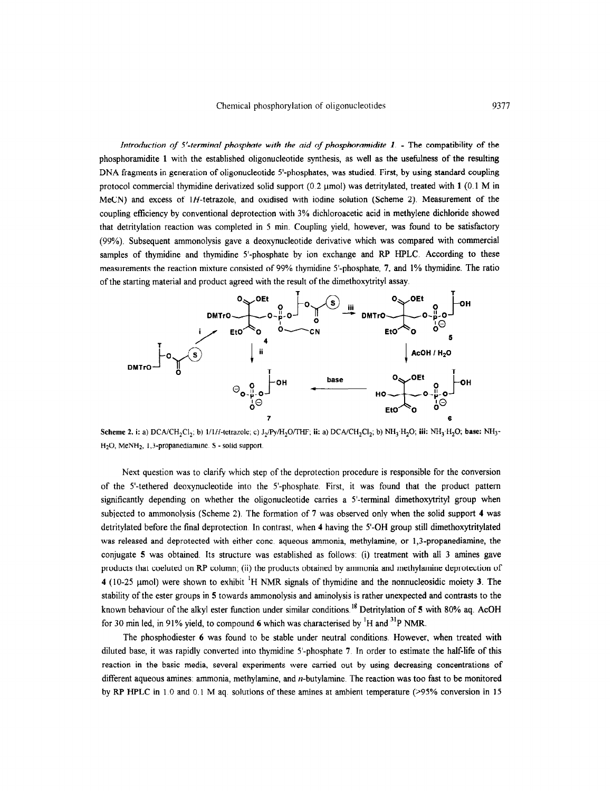Introduction of 5'-terminal phosphate with the aid of phosphoramidite  $1$ . - The compatibility of the phosphoramidite 1 with the established oligonucleotide synthesis, as well as the usefulness of the resulting DNA fragments in generation of oligonucleotide S-phosphates, was studied. First, by using standard coupling protocol commercial thymidine derivatized solid support  $(0.2 \mu \text{mol})$  was detritylated, treated with 1  $(0.1 \text{ M} \cdot \text{in})$ MeCN) and excess of 1H-tetrazole, and oxidised with iodine solution (Scheme 2). Measurement of the coupling efficiency by conventional deprotection with 3% dichloroacetic acid in methylene dichloride showed that detritylation reaction was completed in 5 min. Coupling yield, however, was found to be satisfactory (99%). Subsequent ammonolysis gave a deoxynucleotide derivative which was compared with commercial samples of thymidine and thymidine 5'-phosphate by ion exchange and RP HPLC. According to these measurements the reaction mixture consisted of 99% thymidine S-phosphate, 7, and 1% thymidine. The ratio of the starting material and product agreed with the result of the dimethoxytrityl assay



Scheme 2. i: a) DCA/CH<sub>2</sub>Cl<sub>2</sub>; b)  $1/1H$ -tetrazole; c)  $J_2/Py/H_2O$ THF; ii: a) DCA/CH<sub>2</sub>Cl<sub>2</sub>; b) NH<sub>3</sub>·H<sub>2</sub>O; iii: NH<sub>3</sub>·H<sub>2</sub>O; base: NH<sub>3</sub>·  $H<sub>2</sub>O$ , MeNH<sub>2</sub>, 1.3-propanediamine. S - solid support.

Next question was to clarify which step of the deprotection procedure is responsible for the conversion of the S-tethered deoxynucleotide into the S-phosphate. First, it was found that the product pattern significantly depending on whether the oligonucleotide carries a 5'-terminal dimethoxytrityl group when subjected to ammonolysis (Scheme 2). The formation of 7 was observed only when the solid support 4 was detritylated before the final deprotection In contrast, when 4 having the 5'-OH group still dimethoxytritylated was released and deprotected with either conc. aqueous ammonia, methylamine, or 1,3-propanediamine, the conjugate 5 was obtained. Its structure was established as follows: (i) treatment with all 3 amines gave products that coeluted on RP column; (ii) the products obtained by ammonia and methylamine deprotection of 4 (10-25 µmol) were shown to exhibit <sup>1</sup>H NMR signals of thymidine and the nonnucleosidic moiety 3. The stability of the ester groups in 5 towards ammonolysis and aminolysis is rather unexpected and contrasts to the known behaviour of the alkyl ester function under similar conditions.<sup>18</sup> Detritylation of 5 with 80% aq. AcOH for 30 min led, in 91% yield, to compound 6 which was characterised by <sup>1</sup>H and <sup>31</sup>P NMR.

The phosphodiester 6 was found to be stable under neutral conditions. However, when treated with diluted base, it was rapidly converted into thymidine 5'-phosphate 7. In order to estimate the half-life of this reaction in the basic media, several experiments were carried out by using decreasing concentrations of different aqueous amines. ammonia, methylamine, and n-butylamine. The reaction was too fast to be monitored by RP HPLC in 1.0 and 0.1 M aq. solutions of these amines at ambient temperature (>95% conversion in 15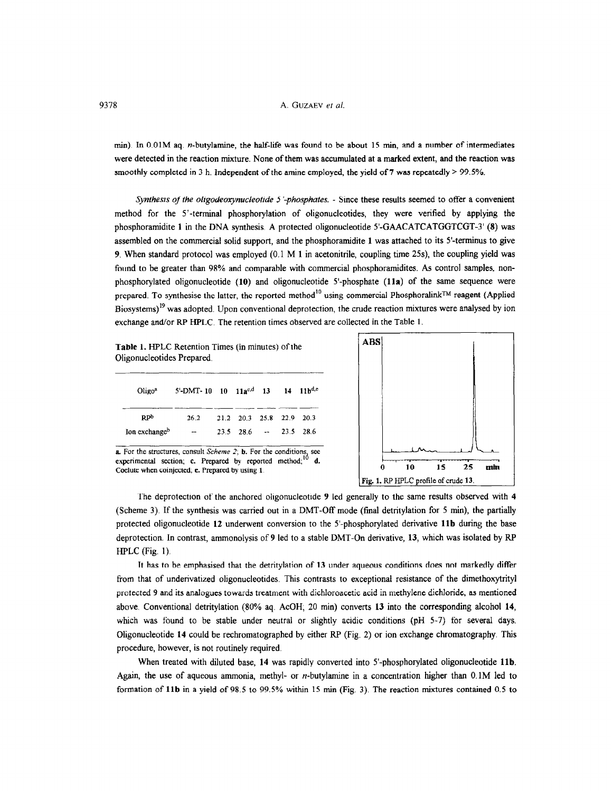min). In O.OlM aq. n-butylamine, the half-life was found to be about 15 min, and a number of intermediates were detected in the reaction mixture. None of them was accumulated at a marked extent, and the reaction was smoothly completed in 3 h. Independent of the amine employed, the yield of 7 was repeatedly  $> 99.5\%$ .

Synthesis of the oligodeoxynucleotide 5'-phosphates. - Since these results seemed to offer a convenient method for the 5'-terminal phosphorylation of oligonucleotides, they were verified by applying the phosphoramidite 1 in the DNA synthesis. A protected oligonucleotide S-GAACATCATGGTCGT-3' (8) was assembled on the commercial solid support, and the phosphoramidite 1 was attached to its 5'-terminus to give 9. When standard protocol was employed (0.1 M 1 in acetonitrile, coupling time 25s), the coupling yield was found to be greater than 98% and comparable with commercial phosphoramidites. As control samples, nonphosphorylated oligonucleotide (10) and oligonucleotide 5'-phosphate (11a) of the same sequence were prepared. To synthesise the latter, the reported method<sup>10</sup> using commercial Phosphoralink™ reagent (Applied Biosystems)<sup>19</sup> was adopted. Upon conventional deprotection, the crude reaction mixtures were analysed by ion exchange and/or RP HPLC. The retention times observed are collected in the Table 1

Table 1. HPLC Retention Times (in minutes) of the Oligonucleotides Prepared.

| $O$ ligo <sup>a</sup>     | 5'-DMT-10 10 11ac,d 13 14 11bd,e |                                     |  |  |
|---------------------------|----------------------------------|-------------------------------------|--|--|
| R <sub>ppp</sub>          | 26.2                             | 21.2 20.3 25.8 22.9 20.3            |  |  |
| Ion exchange <sup>b</sup> | --                               | $23.5$ 28.6 $\rightarrow$ 23.5 28.6 |  |  |
|                           |                                  |                                     |  |  |



**a.** For the structures, consult Scheme 2; **b.** For the conditions, see experimental, exclusively reported method;  $\frac{10}{10}$ experimental section; c. Prepared by reported method;<br>Coelute when coinjected; e. Prepared by using 1.

The deprotection of the anchored oligonucleotide 9 led generally to the same results observed with 4 (Scheme 3). If the synthesis was carried out in a DMT-Off mode (final detritylation for 5 min), the partially protected oligonucleotide 12 underwent conversion to the 5'-phosphorylated derivative llb during the base deprotection. In contrast, ammonolysis of 9 led to a stable DMT-On derivative, 13, which was isolated by RP HFLC (Fig. 1).

It has to be emphasised that the detritylation of 13 under aqueous conditions does not markedly differ from that of underivatized oligonucleotides. This contrasts to exceptional resistance of the dimethoxytrityl protected 9 and its analogues towards treatment with dichloroacetic acid in methylene dichloride, as mentioned above. Conventional detritylation (80% aq. AcOH; 20 min) converts 13 into the corresponding alcohol 14, which was found to be stable under neutral or slightly acidic conditions (pH 5-7) for several days. Oligonucleotide 14 could be rechromatographed by either RP (Fig. 2) or ion exchange chromatography. This procedure, however, is not routinely required.

When treated with diluted base, 14 was rapidly converted into 5'-phosphorylated oligonucleotide 11b. Again, the use of aqueous ammonia, methyl- or n-butylamine in a concentration higher than O.lM led to formation of llb in a yield of 98.5 to 99.5% within 15 min (Fig. 3). The reaction mixtures contained 0.5 to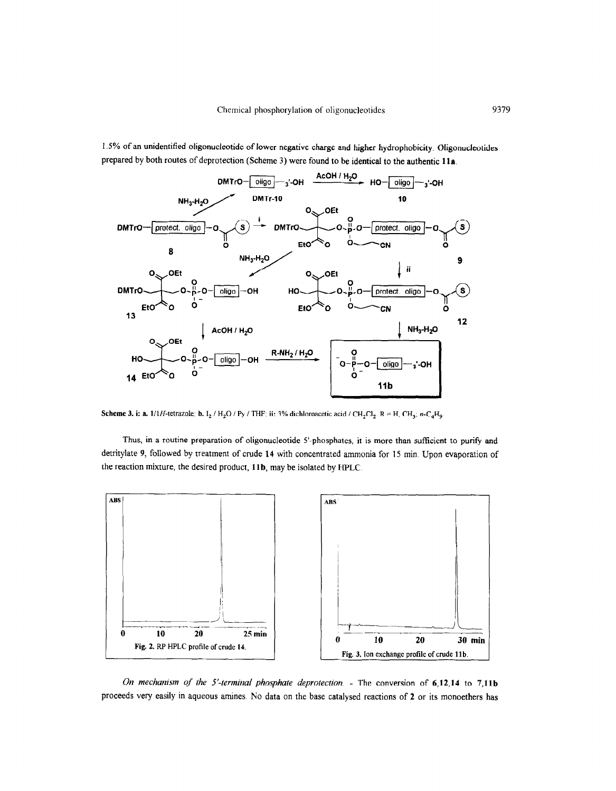1.5% of an unidentified oligonucleotide of lower negative charge and higher hydrophobicity. Oligonucleotides prepared by both routes of deprotection (Scheme 3) were found to be identical to the authentic 11s.



Scheme 3. i: a. 1/1H-tetrazole; b.  $I_2$  / H<sub>2</sub>O / Py / THF; ii: 3% dichloroacetic acid / CH<sub>2</sub>Cl<sub>2</sub>. R = H, CH<sub>3</sub>; n-C<sub>4</sub>H<sub>9</sub>.

Thus, in a routine preparation of oligonucleotide 5'-phosphates, it is more than sufficient to purify and detritylate 9, foilowed by treatment of crude 14 with concentrated ammonia for 15 min. Upon evaporation of the reaction mixture, the desired product, 11b, may be isolated by HPLC.



On mechanism of the 5'-terminal phosphate deprotection.  $\overline{\ }$ - The conversion of 6,12,14 to 7,11b proceeds very easily in aqueous amines. No data on the base catalysed reactions of 2 or its monoethers has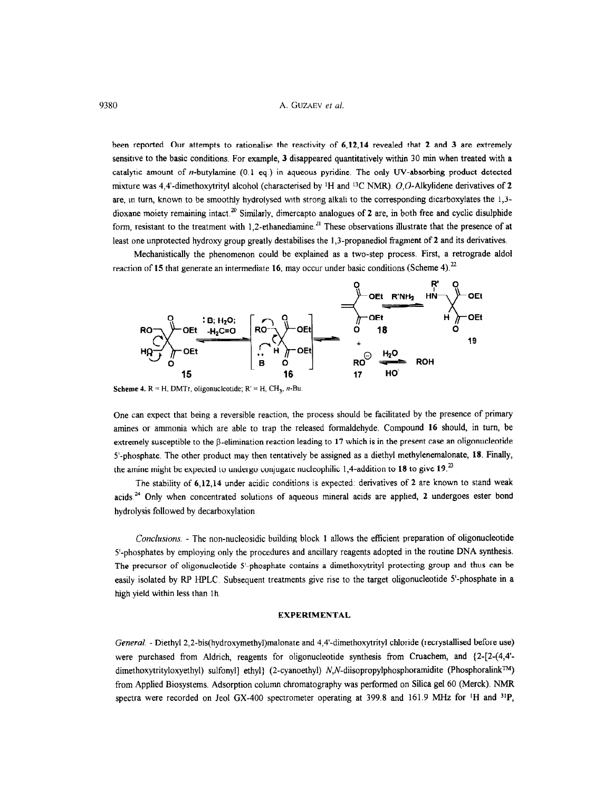been reported. Our attempts to rationalise the reactivity of 6,12,14 revealed that 2 and 3 are extremely sensitive to the basic conditions. For example, 3 disappeared quantitatively within 30 min when treated with a catalytic amount of n-butylamine (0.1 eq ) in aqueous pyridine. The only W-absorbing product detected mixture was 4,4'-dimethoxytrityl alcohol (characterised by <sup>1</sup>H and <sup>13</sup>C NMR). O,O-Alkylidene derivatives of 2 are, in turn, known to be smoothly hydrolysed with strong alkali to the corresponding dicarboxylates the 1,3 dioxane moiety remaining intact.<sup>20</sup> Similarly, dimercapto analogues of 2 are, in both free and cyclic disulphide form, resistant to the treatment with  $1,2$ -ethanediamine.<sup>21</sup> These observations illustrate that the presence of at least one unprotected hydroxy group greatly destabilises the 1,3-propanediol fragment of 2 and its derivatives.

Mechanistically the phenomenon could be explained as a two-step process. First, a retrograde aldol reaction of 15 that generate an intermediate 16, may occur under basic conditions (Scheme 4).<sup>22</sup>



Scheme 4.  $R = H$ , DMTr, oligonucleotide;  $R' = H$ , CH<sub>2</sub>, *n*-Bu.

One can expect that being a reversible reaction, the process should be facilitated by the presence of primary amines or ammonia which are able to trap the released formaldehyde. Compound 16 should, in turn, be extremely susceptible to the  $\beta$ -elimination reaction leading to 17 which is in the present case an oligonucleotide S-phosphate. The other product may then tentatively be assigned as a diethyl methylenemalonate, 18. Finally, the amine might be expected to undergo conjugate nucleophilic 1,4-addition to 18 to give 19.<sup>23</sup>

The stability of 6,12,14 under acidic conditions is expected: derivatives of 2 are known to stand weak acids.<sup>24</sup> Only when concentrated solutions of aqueous mineral acids are applied, 2 undergoes ester bond hydrolysis followed by decarboxylation

Conclusions. - The non-nucleosidic building block 1 allows the efficient preparation of oligonucleotide 5'-phosphates by employing only the procedures and ancillary reagents adopted in the routine DNA synthesis. The precursor of oligonucleotide S-phosphate contains a dimethoxytrityl protecting group and thus can be easily isolated by RP HPLC. Subsequent treatments give rise to the target oligonucleotide S-phosphate in a high yield within less than 1h.

### EXPERIMENTAL

General. - Diethyl2,2-bis(hydroxymethyl)malonate and 4,4'-dimethoxytrityl chloride (rectystallised before use) were purchased from Aldrich, reagents for oligonucleotide synthesis from Cruachem, and  $\{2-[2-(4,4]$ dimethoxytrityloxyethyl) sulfonyl] ethyl} (2-cyanoethyl) N,N-diisopropylphosphoramidite (Phosphoralink<sup>TM</sup>) from Applied Biosystems. Adsorption column chromatography was performed on Silica gel 60 (Merck). NMR spectra were recorded on Jeol GX-400 spectrometer operating at 399.8 and 161.9 MHz for <sup>1</sup>H and <sup>31</sup>P,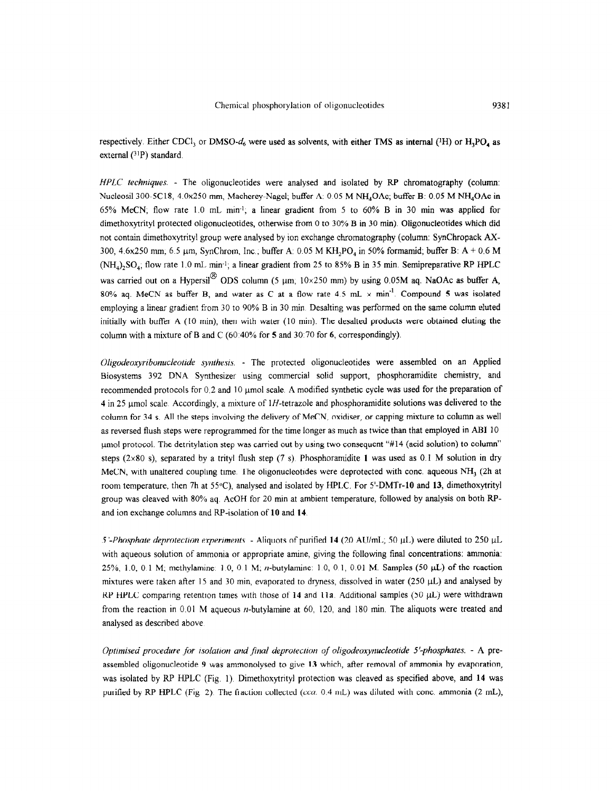respectively. Either CDCl, or DMSO-d<sub>6</sub> were used as solvents, with either TMS as internal (<sup>1</sup>H) or  $H_1PO_4$  as external (31P) standard.

HPLC techniques. - The oligonucleotides were analysed and isolated by RP chromatography (column: Nucleosil 300-5C18, 4.0x250 mm, Macherey-Nagel; buffer A. 0.05 M NH<sub>4</sub>OAc; buffer B: 0.05 M NH<sub>4</sub>OAc in 65% MeCN; flow rate 1.0 mL min-l, a linear gradient from 5 to 60% B in 30 min was applied for dimethoxytrityl protected oligonucleotides, otherwise from 0 to 30% B in 30 min). Oligonucleotides which did not contain dimethoxytrityl group were analysed by ion exchange chromatography (column: SynChropack AX-300, 4.6x250 mm, 6.5  $\mu$ m, SynChrom, Inc., buffer A: 0.05 M KH<sub>2</sub>PO<sub>4</sub> in 50% formamid; buffer B: A + 0.6 M  $(NH<sub>4</sub>)<sub>2</sub>SO<sub>4</sub>$ ; flow rate 1.0 mL min<sup>-1</sup>; a linear gradient from 25 to 85% B in 35 min. Semipreparative RP HPLC was carried out on a Hypersil<sup>®</sup> ODS column (5 µm,  $10 \times 250$  mm) by using 0.05M aq. NaOAc as buffer A, 80% aq. MeCN as buffer B, and water as C at a flow rate 4.5 mL  $\times$  min<sup>-1</sup>. Compound 5 was isolated employing a linear gradient from 30 to 90% B in 30 min Desalting was performed on the same column eluted initially with buffer A (IO min), then with water (10 min). The desalted products were obtained eluting the column with a mixture of B and C (60.40% for 5 and 30 70 for 6, correspondingly).

Oligodeoxyribonucleotide synthesis. - The protected oligonucleotides were assembled on an Applied Biosystems 392 DNA Synthesizer using commercial solid support, phosphoramidite chemistry, and recommended protocols for 0.2 and 10 umol scale. A modified synthetic cycle was used for the preparation of 4 in 25 umol scale Accordingly, a mixture of lH-tetrazole and phosphoramidite solutions was delivered to the column for 34 s. All the steps involving the delivery of MeCN, oxidiser, or capping mixture to column as well as reversed flush steps were reprogrammed for the time longer as much as twice than that employed in ABI 10 umol protocol. The detritylation step was carried out by using two consequent "#14 (acid solution) to column" steps (2×80 s), separated by a trityl flush step (7 s). Phosphoramidite 1 was used as 0.1 M solution in dry MeCN, with unaltered coupling time. The oligonucleotides were deprotected with conc. aqueous NH<sub>3</sub> (2h at room temperature, then 7h at 55°C) analysed and isolated by HPLC. For S-DMTr-10 and 13, dimethoxytrityl group was cleaved with 80% aq. AcOH for 20 min at ambient temperature, followed by analysis on both RPand ion exchange columns and RP-isolation of 10 and 14.

5'-Phosphate deprotection experiments. - Aliquots of purified 14 (20 AU/mL; 50  $\mu$ L) were diluted to 250  $\mu$ L with aqueous solution of ammonia or appropriate amine, giving the following final concentrations: ammonia:  $25\%$ , 1.0, 0.1 M; methylamine: 1.0, 0.1 M; *n*-butylamine: 1.0, 0.1, 0.01 M. Samples (50  $\mu$ L) of the reaction mixtures were taken after 15 and 30 min, evaporated to dryness, dissolved in water (250 yL) and analysed by RP HPLC comparing retention times with those of 14 and 11a. Additional samples (50  $\mu$ L) were withdrawn from the reaction in  $0.01$  M aqueous *n*-butylamine at  $60$ , 120, and 180 min. The aliquots were treated and analysed as described above

Optimised procedure for isolation and final deprotection of oligodeoxynucleotide 5'-phosphates. - A preassembled oligonucleotide 9 was ammonolysed to give 13 which, after removal of ammonia by evaporation, was isolated by RF HPLC (Fig. 1) Dimethoxytrityl protection was cleaved as specified above, and 14 was purified by RP HPLC (Fig. 2). The fraction collected (cca. 0.4 mL) was diluted with conc. ammonia (2 mL),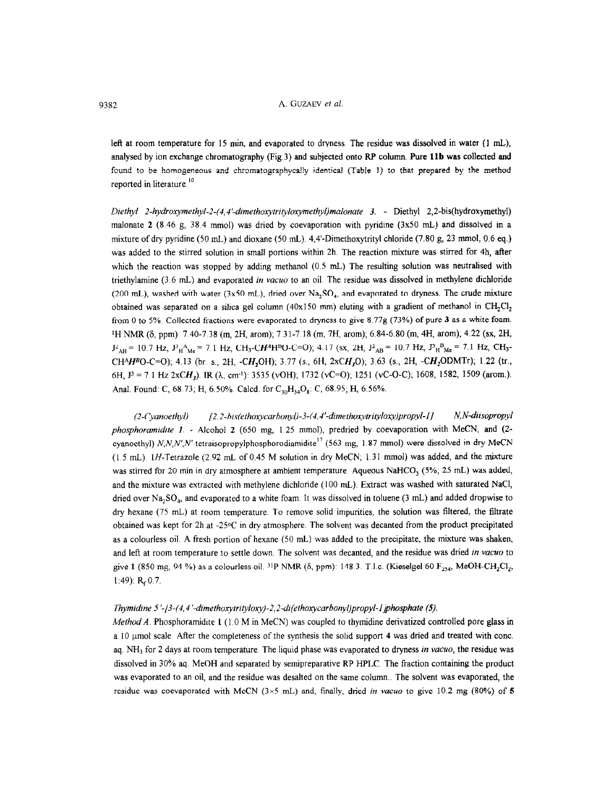left at room temperature for 15 min, and evaporated to dryness The residue was dissolved in water (1 mL), analysed by ion exchange chromatography (Fig.3) and subjected onto RP column. Pure llb was collected and found to be homogeneous and chromatographycally identical (Table I) to that prepared by the method reported in literature.<sup>10</sup>

Diethyl 2-hydroxymethyl-2-(4,4'-dimethoxytrityloxymethyl)malonate 3. - Diethyl 2,2-bis(hydroxymethyl) malonate 2 (8 46 g, 38.4 mmol) was dried by coevaporation with pyridine (3x50 mL) and dissolved in a mixture of dry pyridine (50 mL) and dioxane (50 mL). 4,4'-Dimethoxytrityl chloride (7.80 g, 23 mmol, 0.6 eq.) was added to the stirred solution in small portions within 2h. The reaction mixture was stirred for 4h, after which the reaction was stopped by adding methanol (0.5 mL) The resulting solution was neutralised with triethylamine  $(3.6 \text{ mL})$  and evaporated *in vacuo* to an oil. The residue was dissolved in methylene dichloride (200 mL), washed with water (3x50 mL), dried over  $Na_5SO_4$ , and evaporated to dryness. The crude mixture obtained was separated on a silica gel column (40x150 mm) eluting with a gradient of methanol in  $CH_2Cl_2$ from 0 to 5%. Collected fractions were evaporated to dryness to give 8.77g (73%) of pure 3 as a white foam. <sup>1</sup>H NMR ( $\delta$ , ppm): 7.40-7.38 (m, 2H, arom); 7.31-7.18 (m, 7H, arom); 6.84-6.80 (m, 4H, arom); 4.22 (sx, 2H,  $J_{AB}^2$  = 10.7 Hz,  $J_{H}^3$ <sup>A</sup><sub>Me</sub> = 7.1 Hz, CH<sub>3</sub>-CH<sup>A</sup>H<sup>B</sup>O-C=O); 4.17 (sx, 2H,  $J_{AB}^2$  = 10.7 Hz,  $J_{H}^3$ <sub>Me</sub> = 7.1 Hz, CH<sub>3</sub>-CH<sup>A</sup>H<sup>B</sup>O-C=O); 4.13 (br. s., 2H, -CH<sub>2</sub>OH); 3.77 (s., 6H, 2xCH<sub>3</sub>O); 3.63 (s., 2H, -CH<sub>2</sub>ODMTr); 1.22 (tr., 6H,  $J^3 = 7.1$  Hz 2xCH<sub>2</sub>). IR ( $\lambda$ , cm<sup>-1</sup>): 3535 (vOH); 1732 (vC=O); 1251 (vC-O-C); 1608, 1582, 1509 (arom.). Anal. Found: C, 68.73; H, 6.50%. Calcd. for  $C_{30}H_{34}O_8$ : C, 68.95; H, 6.56%.

(2-Cyanoethyl) [2,2-bis(ethoxycarbonyl)-3-(4,4'-dimethoxytrityloxy)propyl-1] N,N-diisopropyl phosphoramidite 1. - Alcohol 2 (650 mg,  $1.25$  mmol), predried by coevaporation with MeCN, and (2cyanoethyl) N,N,N',N'-tetraisopropylphosphorodiamidite<sup>17</sup> (563 mg, 1.87 mmol) were dissolved in dry MeCN  $(1.5 \text{ mL})$ . IH-Tetrazole (2.92 mL of 0.45 M solution in dry MeCN; 1.31 mmol) was added, and the mixture was stirred for 20 min in dry atmosphere at ambient temperature. Aqueous NaHCO<sub>3</sub> (5%; 25 mL) was added, and the mixture was extracted with methylene dichloride (100 mL). Extract was washed with saturated NaCI, dried over  $Na, SO<sub>4</sub>$ , and evaporated to a white foam. It was dissolved in toluene (3 mL) and added dropwise to dry hexane (75 mL) at room temperature. To remove solid impurities, the solution was filtered, the filtrate obtained was kept for 2h at -25°C in dry atmosphere. The solvent was decanted from the product precipitated as a colourless oil. A fresh portion of hexane (50 mL) was added to the precipitate, the mixture was shaken, and left at room temperature to settle down. The solvent was decanted, and the residue was dried in vacuo to give 1 (850 mg, 94 %) as a colourless oil. <sup>31</sup>P NMR ( $\delta$ , ppm): 148.3. T.l.c. (Kieselgel 60 F<sub>254</sub>, MeOH-CH<sub>2</sub>Cl<sub>2</sub>, 1:49):  $R<sub>r</sub> 0.7$ .

#### Thymidine 5'-/3-(4,4'-dimethoxytrityloxy)-2,2-di(ethoxycarbonyl)propyl-1 phosphate (5).

*Method A.* Phosphoramidite 1  $(1.0 M in MeCN)$  was coupled to thymidine derivatized controlled pore glass in a 10 umol scale. After the completeness of the synthesis the solid support 4 was dried and treated with conc. aq. NH<sub>3</sub> for 2 days at room temperature. The liquid phase was evaporated to dryness in vacuo, the residue was dissolved in 30% aq. MeOH and separated by semipreparative RP HPLC. The fraction containing the product was evaporated to an oil, and the residue was desalted on the same column. The solvent was evaporated, the residue was coevaporated with MeCN ( $3\times5$  mL) and, finally, dried in vacuo to give 10.2 mg (80%) of 5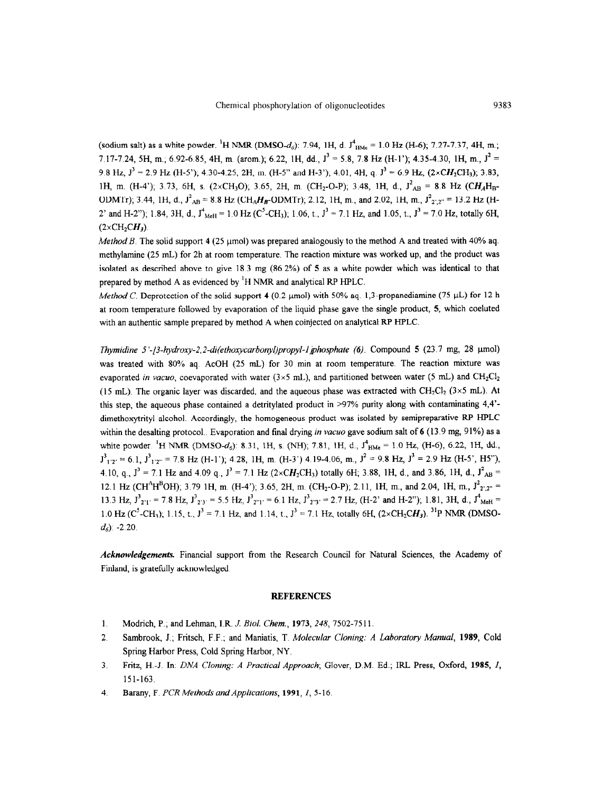(sodium salt) as a white powder. <sup>1</sup>H NMR (DMSO-d<sub>6</sub>): 7.94, 1H, d.  $J^4$ <sub>HMe</sub> = 1.0 Hz (H-6); 7.27-7.37, 4H, m.; 7.17-7.24, 5H, m., 6.92-6.85, 4H, m. (arom.); 6.22, 1H, dd.,  $J^3 = 5.8$ , 7.8 Hz (H-1'); 4.35-4.30, 1H, m.,  $J^2 =$ 9.8 Hz,  $J^3 = 2.9$  Hz (H-5'); 4.30-4.25, 2H, m. (H-5" and H-3'); 4.01, 4H, q.  $J^3 = 6.9$  Hz, (2xCH<sub>2</sub>CH<sub>3</sub>); 3.83, 1H, m. (H-4'); 3.73, 6H, s. (2×CH<sub>3</sub>O); 3.65, 2H, m. (CH<sub>2</sub>-O-P); 3.48, 1H, d.,  $J_{AB}^2 = 8.8$  Hz (CH<sub>A</sub>H<sub>B</sub>-ODMTr); 3.44, 1H, d.,  $J_{AB}^2 = 8.8$  Hz (CH<sub>A</sub>H<sub>B</sub>-ODMTr); 2.12, 1H, m., and 2.02, 1H, m.,  $J_{2',2''}^2 = 13.2$  Hz (H-2' and H-2"); 1.84, 3H, d.,  $J^4$ <sub>MeH</sub> = 1.0 Hz (C<sup>5</sup>-CH<sub>3</sub>); 1.06, t.,  $J^3$  = 7.1 Hz, and 1.05, t.,  $J^3$  = 7.0 Hz, totally 6H,  $(2\times CH_2CH_3)$ .

Method B. The solid support 4 (25 µmol) was prepared analogously to the method A and treated with 40% aq. methylamine (25 mL) for 2h at room temperature. The reaction mixture was worked up, and the product was isolated as described above to give 18.3 mg (86.2%) of 5 as a white powder which was identical to that prepared by method A as evidenced by 'H NMR and analytical RP HPLC.

Method C. Deprotection of the solid support 4 (0.2 µmol) with 50% aq. 1,3-propanediamine (75 µL) for 12 h at room temperature followed by evaporation of the liquid phase gave the single product, 5, which coeluted with an authentic sample prepared by method A when coinjected on analytical RP HPLC.

Thymidine 5'-/3-hydroxy-2,2-di(ethoxycarbonyl)propyl-1 phosphate (6). Compound 5 (23.7 mg, 28 umol) was treated with 80% aq. AcOH (25 mL) for 30 min at room temperature. The reaction mixture was evaporated in vacuo, coevaporated with water (3×5 mL), and partitioned between water (5 mL) and CH<sub>2</sub>Cl<sub>2</sub> (15 mL). The organic layer was discarded, and the aqueous phase was extracted with  $CH_2Cl_2$  (3×5 mL). At this step, the aqueous phase contained a detritylated product in >97% purity along with contaminating 4,4' dimethoxytrityl alcohol. Accordingly, the homogeneous product was isolated by semipreparative RP HPLC within the desalting protocol.. Evaporation and final drying in vacuo gave sodium salt of 6 (13.9 mg, 91%) as a white powder. <sup>1</sup>H NMR (DMSO-d<sub>6</sub>): 8.31, 1H, s. (NH); 7.81, 1H, d.,  $J_{HMe}^4$  = 1.0 Hz, (H-6); 6.22, 1H, dd.,  $J_{1'2'}^3$  = 6.1,  $J_{1'2''}^3$  = 7.8 Hz (H-1'); 4.28, 1H, m. (H-3') 4.19-4.06, m.,  $J^2$  = 9.8 Hz,  $J^3$  = 2.9 Hz (H-5', H5"), 4.10, q.,  $J^3 = 7.1$  Hz and 4.09 q.,  $J^3 = 7.1$  Hz (2xCH<sub>2</sub>CH<sub>3</sub>) totally 6H; 3.88, 1H, d., and 3.86, 1H, d.,  $J^2_{AB} =$ 12.1 Hz (CH<sup>A</sup>H<sup>B</sup>OH); 3.79 1H, m. (H-4'); 3.65, 2H, m. (CH<sub>2</sub>-O-P); 2.11, 1H, m., and 2.04, 1H, m.,  $J_{2',2''}^2$  $13.3 \text{ H}_7$ ,  $3^3$  = 7.8 Hz,  $1^3$  = 6.5 Hz,  $1^3$  = 6.1 Hz,  $1^3$  = 2.7 Hz, (H-2); and H-2"); 1.81, 3H, d.,  $1^4$  =  $1.0 \text{ H}$  (C<sup>5</sup>-CH<sub>3</sub>); 1.15, t.,  $1^3$  = 7.1 H<sub>z</sub>, and 1.14, t.,  $1^3$  = 7.1 Hz, totally 6H, (2xCH-CH<sub>3</sub>). <sup>31</sup>D NMR (DMSO  $d_6$ ). -2.20.

Acknowledgements. Financial support from the Research Council for Natural Sciences, the Academy of Finland, is gratefully acknowledged.

#### **REFERENCES**

- 1. Modrich, P., and Lehman, I.R. J. Biol. Chem., 1973, 248, 7502-75 11.
- 2. Sambrook, J.; Fritsch, F.F.; and Maniatis, T. Molecular Cloning: A Laboratory Manual, 1989, Cold Spring Harbor Press, Cold Spring Harbor, NY.
- 3. Fritz, H.-J. In: DNA Cloning: A Practical Approach; Glover, D.M. Ed.; IRL Press, Oxford, 1985, I, 151-163.
- 4. Barany, F. PCR Methods and Applications, 1991, I, 5-16.